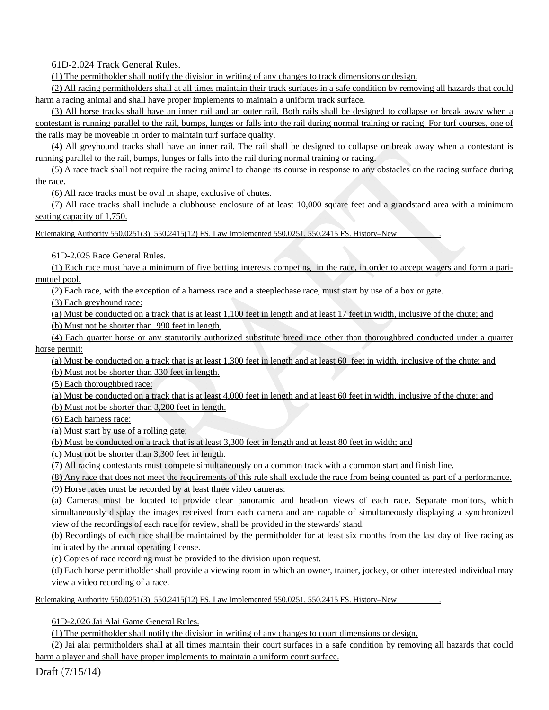61D-2.024 Track General Rules.

(1) The permitholder shall notify the division in writing of any changes to track dimensions or design.

 (2) All racing permitholders shall at all times maintain their track surfaces in a safe condition by removing all hazards that could harm a racing animal and shall have proper implements to maintain a uniform track surface.

(3) All horse tracks shall have an inner rail and an outer rail. Both rails shall be designed to collapse or break away when a contestant is running parallel to the rail, bumps, lunges or falls into the rail during normal training or racing. For turf courses, one of the rails may be moveable in order to maintain turf surface quality.

(4) All greyhound tracks shall have an inner rail. The rail shall be designed to collapse or break away when a contestant is running parallel to the rail, bumps, lunges or falls into the rail during normal training or racing.

(5) A race track shall not require the racing animal to change its course in response to any obstacles on the racing surface during the race.

(6) All race tracks must be oval in shape, exclusive of chutes.

(7) All race tracks shall include a clubhouse enclosure of at least 10,000 square feet and a grandstand area with a minimum seating capacity of 1,750.

Rulemaking Authority 550.0251(3), 550.2415(12) FS. Law Implemented 550.0251, 550.2415 FS. History–New

61D-2.025 Race General Rules.

(1) Each race must have a minimum of five betting interests competing in the race, in order to accept wagers and form a parimutuel pool.

(2) Each race, with the exception of a harness race and a steeplechase race, must start by use of a box or gate.

(3) Each greyhound race:

(a) Must be conducted on a track that is at least 1,100 feet in length and at least 17 feet in width, inclusive of the chute; and

(b) Must not be shorter than 990 feet in length.

(4) Each quarter horse or any statutorily authorized substitute breed race other than thoroughbred conducted under a quarter horse permit:

(a) Must be conducted on a track that is at least 1,300 feet in length and at least 60 feet in width, inclusive of the chute; and

(b) Must not be shorter than 330 feet in length.

(5) Each thoroughbred race:

(a) Must be conducted on a track that is at least 4,000 feet in length and at least 60 feet in width, inclusive of the chute; and (b) Must not be shorter than 3,200 feet in length.

(6) Each harness race:

(a) Must start by use of a rolling gate;

(b) Must be conducted on a track that is at least 3,300 feet in length and at least 80 feet in width; and

(c) Must not be shorter than 3,300 feet in length.

(7) All racing contestants must compete simultaneously on a common track with a common start and finish line.

(8) Any race that does not meet the requirements of this rule shall exclude the race from being counted as part of a performance.

(9) Horse races must be recorded by at least three video cameras:

(a) Cameras must be located to provide clear panoramic and head-on views of each race. Separate monitors, which simultaneously display the images received from each camera and are capable of simultaneously displaying a synchronized view of the recordings of each race for review, shall be provided in the stewards' stand.

(b) Recordings of each race shall be maintained by the permitholder for at least six months from the last day of live racing as indicated by the annual operating license.

(c) Copies of race recording must be provided to the division upon request.

(d) Each horse permitholder shall provide a viewing room in which an owner, trainer, jockey, or other interested individual may view a video recording of a race.

Rulemaking Authority 550.0251(3), 550.2415(12) FS. Law Implemented 550.0251, 550.2415 FS. History–New

61D-2.026 Jai Alai Game General Rules.

(1) The permitholder shall notify the division in writing of any changes to court dimensions or design.

(2) Jai alai permitholders shall at all times maintain their court surfaces in a safe condition by removing all hazards that could harm a player and shall have proper implements to maintain a uniform court surface.